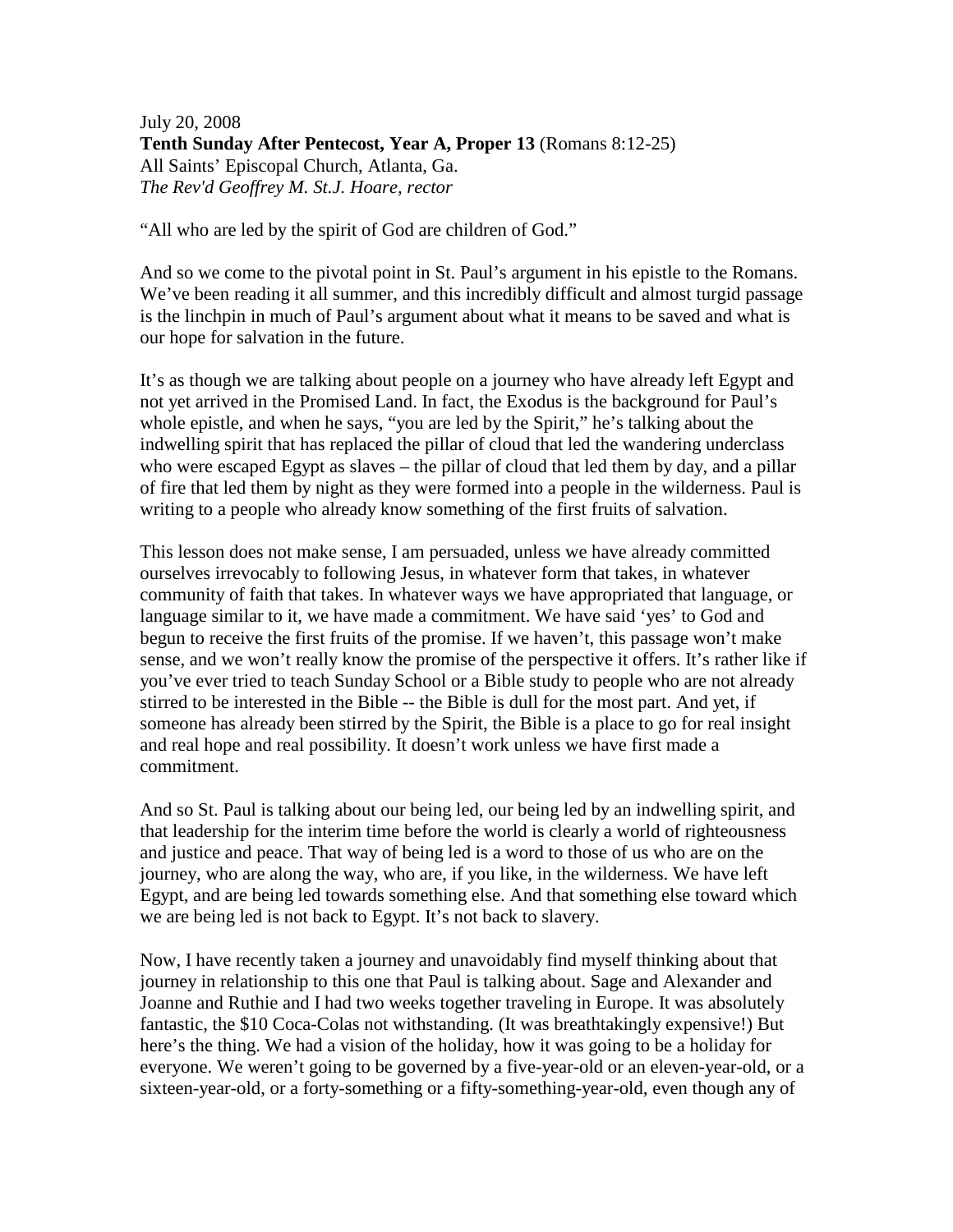July 20, 2008 **Tenth Sunday After Pentecost, Year A, Proper 13** (Romans 8:12-25) All Saints' Episcopal Church, Atlanta, Ga. *The Rev'd Geoffrey M. St.J. Hoare, rector* 

"All who are led by the spirit of God are children of God."

And so we come to the pivotal point in St. Paul's argument in his epistle to the Romans. We've been reading it all summer, and this incredibly difficult and almost turgid passage is the linchpin in much of Paul's argument about what it means to be saved and what is our hope for salvation in the future.

It's as though we are talking about people on a journey who have already left Egypt and not yet arrived in the Promised Land. In fact, the Exodus is the background for Paul's whole epistle, and when he says, "you are led by the Spirit," he's talking about the indwelling spirit that has replaced the pillar of cloud that led the wandering underclass who were escaped Egypt as slaves – the pillar of cloud that led them by day, and a pillar of fire that led them by night as they were formed into a people in the wilderness. Paul is writing to a people who already know something of the first fruits of salvation.

This lesson does not make sense, I am persuaded, unless we have already committed ourselves irrevocably to following Jesus, in whatever form that takes, in whatever community of faith that takes. In whatever ways we have appropriated that language, or language similar to it, we have made a commitment. We have said 'yes' to God and begun to receive the first fruits of the promise. If we haven't, this passage won't make sense, and we won't really know the promise of the perspective it offers. It's rather like if you've ever tried to teach Sunday School or a Bible study to people who are not already stirred to be interested in the Bible -- the Bible is dull for the most part. And yet, if someone has already been stirred by the Spirit, the Bible is a place to go for real insight and real hope and real possibility. It doesn't work unless we have first made a commitment.

And so St. Paul is talking about our being led, our being led by an indwelling spirit, and that leadership for the interim time before the world is clearly a world of righteousness and justice and peace. That way of being led is a word to those of us who are on the journey, who are along the way, who are, if you like, in the wilderness. We have left Egypt, and are being led towards something else. And that something else toward which we are being led is not back to Egypt. It's not back to slavery.

Now, I have recently taken a journey and unavoidably find myself thinking about that journey in relationship to this one that Paul is talking about. Sage and Alexander and Joanne and Ruthie and I had two weeks together traveling in Europe. It was absolutely fantastic, the \$10 Coca-Colas not withstanding. (It was breathtakingly expensive!) But here's the thing. We had a vision of the holiday, how it was going to be a holiday for everyone. We weren't going to be governed by a five-year-old or an eleven-year-old, or a sixteen-year-old, or a forty-something or a fifty-something-year-old, even though any of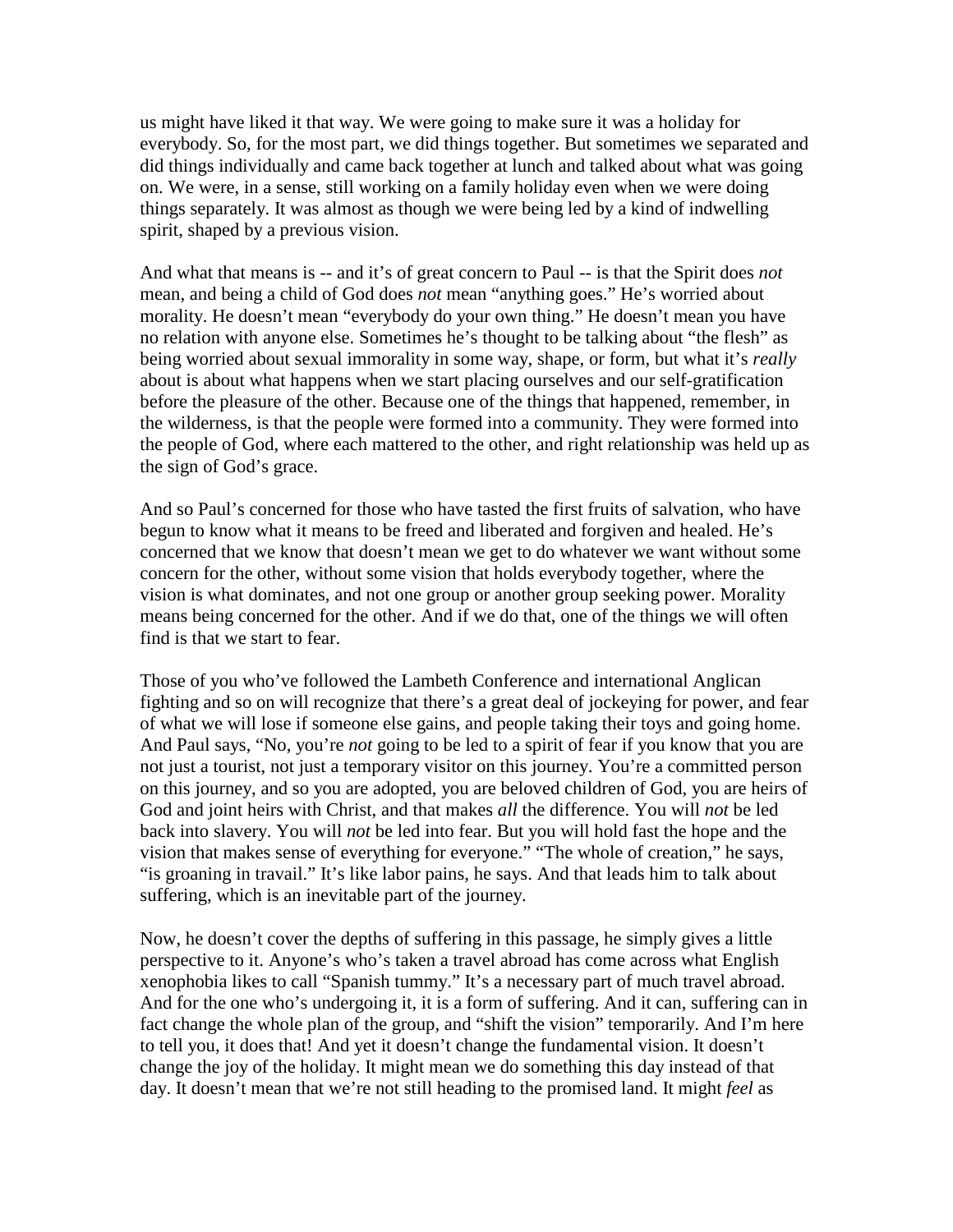us might have liked it that way. We were going to make sure it was a holiday for everybody. So, for the most part, we did things together. But sometimes we separated and did things individually and came back together at lunch and talked about what was going on. We were, in a sense, still working on a family holiday even when we were doing things separately. It was almost as though we were being led by a kind of indwelling spirit, shaped by a previous vision.

And what that means is -- and it's of great concern to Paul -- is that the Spirit does *not* mean, and being a child of God does *not* mean "anything goes." He's worried about morality. He doesn't mean "everybody do your own thing." He doesn't mean you have no relation with anyone else. Sometimes he's thought to be talking about "the flesh" as being worried about sexual immorality in some way, shape, or form, but what it's *really* about is about what happens when we start placing ourselves and our self-gratification before the pleasure of the other. Because one of the things that happened, remember, in the wilderness, is that the people were formed into a community. They were formed into the people of God, where each mattered to the other, and right relationship was held up as the sign of God's grace.

And so Paul's concerned for those who have tasted the first fruits of salvation, who have begun to know what it means to be freed and liberated and forgiven and healed. He's concerned that we know that doesn't mean we get to do whatever we want without some concern for the other, without some vision that holds everybody together, where the vision is what dominates, and not one group or another group seeking power. Morality means being concerned for the other. And if we do that, one of the things we will often find is that we start to fear.

Those of you who've followed the Lambeth Conference and international Anglican fighting and so on will recognize that there's a great deal of jockeying for power, and fear of what we will lose if someone else gains, and people taking their toys and going home. And Paul says, "No, you're *not* going to be led to a spirit of fear if you know that you are not just a tourist, not just a temporary visitor on this journey. You're a committed person on this journey, and so you are adopted, you are beloved children of God, you are heirs of God and joint heirs with Christ, and that makes *all* the difference. You will *not* be led back into slavery. You will *not* be led into fear. But you will hold fast the hope and the vision that makes sense of everything for everyone." "The whole of creation," he says, "is groaning in travail." It's like labor pains, he says. And that leads him to talk about suffering, which is an inevitable part of the journey.

Now, he doesn't cover the depths of suffering in this passage, he simply gives a little perspective to it. Anyone's who's taken a travel abroad has come across what English xenophobia likes to call "Spanish tummy." It's a necessary part of much travel abroad. And for the one who's undergoing it, it is a form of suffering. And it can, suffering can in fact change the whole plan of the group, and "shift the vision" temporarily. And I'm here to tell you, it does that! And yet it doesn't change the fundamental vision. It doesn't change the joy of the holiday. It might mean we do something this day instead of that day. It doesn't mean that we're not still heading to the promised land. It might *feel* as